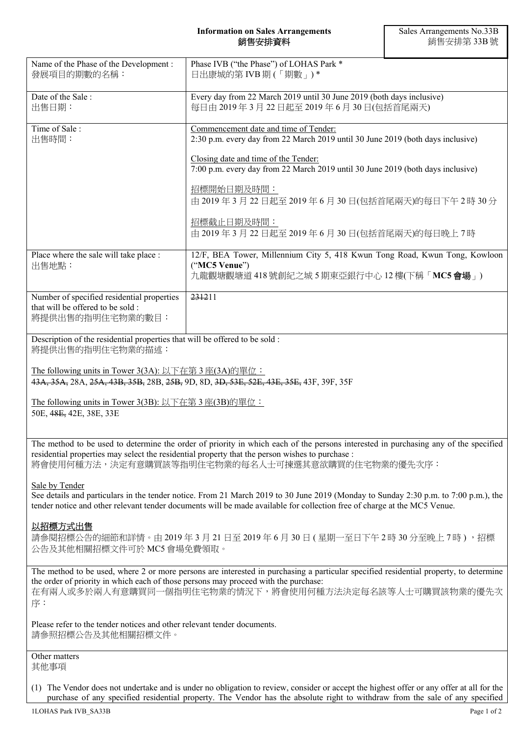| Name of the Phase of the Development :<br>發展項目的期數的名稱:                                                                                       | Phase IVB ("the Phase") of LOHAS Park *<br>日出康城的第 IVB 期 (「期數」)*                                                                            |
|---------------------------------------------------------------------------------------------------------------------------------------------|--------------------------------------------------------------------------------------------------------------------------------------------|
| Date of the Sale:<br>出售日期:                                                                                                                  | Every day from 22 March 2019 until 30 June 2019 (both days inclusive)<br>每日由 2019年3月22日起至2019年6月30日(包括首尾兩天)                                |
| Time of Sale:<br>出售時間:                                                                                                                      | Commencement date and time of Tender:<br>2:30 p.m. every day from 22 March 2019 until 30 June 2019 (both days inclusive)                   |
|                                                                                                                                             | Closing date and time of the Tender:<br>7:00 p.m. every day from 22 March 2019 until 30 June 2019 (both days inclusive)                    |
|                                                                                                                                             | 招標開始日期及時間:<br>由 2019年3月22日起至2019年6月30日(包括首尾兩天)的每日下午2時30分                                                                                   |
|                                                                                                                                             | 招標截止日期及時間:<br>由 2019年3月22日起至2019年6月30日(包括首尾兩天)的每日晚上7時                                                                                      |
| Place where the sale will take place :<br>出售地點:                                                                                             | 12/F, BEA Tower, Millennium City 5, 418 Kwun Tong Road, Kwun Tong, Kowloon<br>("MC5 Venue")<br>九龍觀塘觀塘道 418號創紀之城 5 期東亞銀行中心 12 樓(下稱「MC5 會場」) |
| Number of specified residential properties<br>that will be offered to be sold :<br>將提供出售的指明住宅物業的數目:                                         | 231211                                                                                                                                     |
| Description of the residential properties that will be offered to be sold :<br>將提供出售的指明住宅物業的描述:                                             |                                                                                                                                            |
| The following units in Tower 3(3A): 以下在第3座(3A)的單位:<br>43A, 35A, 28A, 25A, 43B, 35B, 28B, 25B, 9D, 8D, 3D, 53E, 52E, 43E, 35E, 43F, 39F, 35F |                                                                                                                                            |
|                                                                                                                                             |                                                                                                                                            |

The following units in Tower 3(3B): 以下在第 3 座(3B)的單位: 50E, 48E, 42E, 38E, 33E

The method to be used to determine the order of priority in which each of the persons interested in purchasing any of the specified residential properties may select the residential property that the person wishes to purchase : 將會使用何種方法,決定有意購買該等指明住宅物業的每名人士可揀選其意欲購買的住宅物業的優先次序:

Sale by Tender

See details and particulars in the tender notice. From 21 March 2019 to 30 June 2019 (Monday to Sunday 2:30 p.m. to 7:00 p.m.), the tender notice and other relevant tender documents will be made available for collection free of charge at the MC5 Venue.

## 以招標方式出售

請參閱招標公告的細節和詳情。由 2019 年 3 月 21 日至 2019 年 6 月 30 日 ( 星期一至日下午 2 時 30 分至晚上 7 時 ) ,招標 公告及其他相關招標文件可於 MC5 會場免費領取。

The method to be used, where 2 or more persons are interested in purchasing a particular specified residential property, to determine the order of priority in which each of those persons may proceed with the purchase: 在有兩人或多於兩人有意購買同一個指明住宅物業的情況下,將會使用何種方法決定每名該等人士可購買該物業的優先次 序:

Please refer to the tender notices and other relevant tender documents. 請參照招標公告及其他相關招標文件。

Other matters 其他事項

(1) The Vendor does not undertake and is under no obligation to review, consider or accept the highest offer or any offer at all for the purchase of any specified residential property. The Vendor has the absolute right to withdraw from the sale of any specified